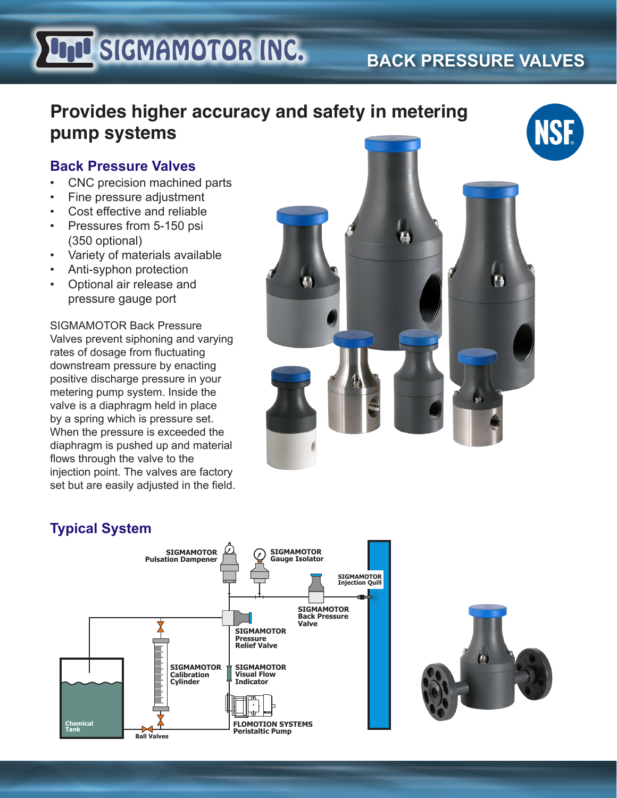# **UND SIGMAMOTOR INC.**

## **BACK PRESSURE VALVES**

## **Provides higher accuracy and safety in metering pump systems**

#### **Back Pressure Valves**

- CNC precision machined parts
- Fine pressure adjustment
- Cost effective and reliable
- Pressures from 5-150 psi (350 optional)
- Variety of materials available
- Anti-syphon protection
- Optional air release and pressure gauge port

SIGMAMOTOR Back Pressure Valves prevent siphoning and varying rates of dosage from fluctuating downstream pressure by enacting positive discharge pressure in your metering pump system. Inside the valve is a diaphragm held in place by a spring which is pressure set. When the pressure is exceeded the diaphragm is pushed up and material flows through the valve to the injection point. The valves are factory set but are easily adjusted in the field.



#### **Typical System**